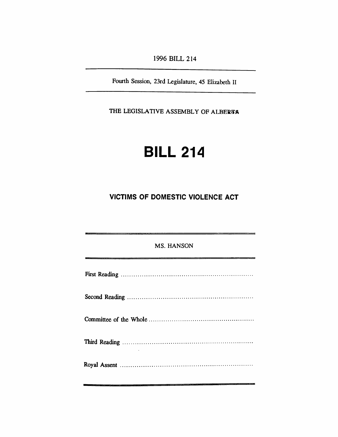*1996 BILL 214*

*Fourth Session, 23rd Legislature, 45 Elizabeth II*

*THE LEGISLATIVE ASSEMBLY OF ALBERTA*

# *BILL 214*

## *VICTIMS OF DOMESTIC VIOLENCE ACT*

| <b>MS. HANSON</b> |
|-------------------|
|                   |
|                   |
|                   |
|                   |
|                   |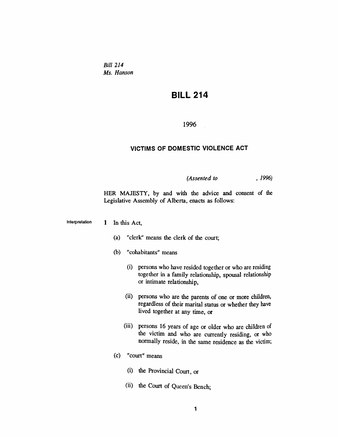*Bill 214 Ms. Hanson*

## *BILL 214*

#### *1996*

### *VICTIMS OF DOMESTIC VIOLENCE ACT*

#### *(Assented to , 1996)*

*HER MAJESTY, by and with the advice and consent of the Legislative Assembly of Alberta, enacts as follows:*

*Interpretation 1 In this Act,*

- *(a) "clerk" means the clerk of the court;*
- *(b) "cohabitants" means*
	- *(i) persons who have resided together or who are residing together in a family relationship, spousal relationship or intimate relationship,*
	- *(ii) persons who are the parents of one or more children, regardless of their marital status or whether they have lived together at any time, or*
	- *(iii) persons 16 years of age or older who are children of the victim and who are currently residing, or who normally reside, in the same residence as the victim;*
- *(c) "court" means*
	- *(i) the Provincial Court, or*
	- *(ii) the Court of Queen's Bench;*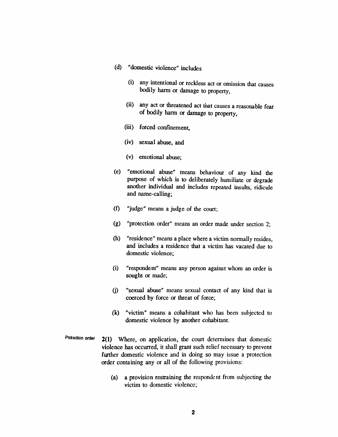- *(d) "domestic violence" includes*
	- *(i) any intentional or reckless act or omission that causes bodily harm or damage to property,*
	- *(ii) any act or threatened act that causes a reasonable fear of bodily harm or damage to property,*
	- *(iii) forced confinement,*
	- *(iv) sexual abuse, and*
	- *(v) emotional abuse;*
- *(e) "emotional abuse" means behaviour of any kind the purpose of which is to deliberately humiliate or degrade another individual and includes repeated insults, ridicule and name-calling;*
- *(f) "judge" means a judge of the court;*
- *(g) "protection order" means an order made under section 2;*
- *(h) "residence" means a place where a victim normally resides, and includes a residence that a victim has vacated due to domestic violence;*
- *(i) "respondent" means any person against whom an order is sought or made;*
- *(j) "sexual abuse" means sexual contact of any kind that is coerced by force or threat of force;*
- *(k) "victim" means a cohabitant who has been subjected to domestic violence by another cohabitant.*
- *Protection order 2(1) Where, on application, the court determines that domestic violence has occurred, it shall grant such relief necessary to prevent further domestic violence and in doing so may issue a protection order containing any or all of the following provisions:*
	- *(a) a provision restraining the respondent from subjecting the victim to domestic violence;*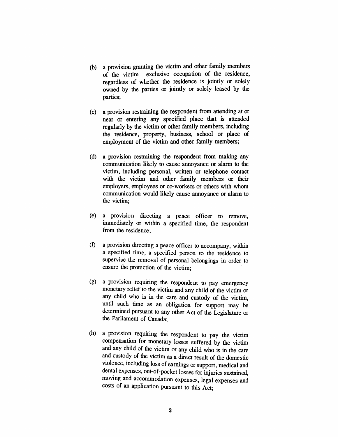- *(b) a provision granting the victim and other family members of the victim exclusive occupation of the residence, regardless of whether the residence is jointly or solely owned by the parties or jointly or solely leased by the parties;*
- *(c) a provision restraining the respondent from attending at or near or entering any specified place that is attended regularly by the victim or other family members, including the residence, property, business, school or place of employment of the victim and other family members;*
- *(d) a provision restraining the respondent from making any communication likely to cause annoyance or alarm to the victim, including personal, written or telephone contact with the victim and other family members or their employers, employees or co-workers or others with whom communication would likely cause annoyance or alarm to the victim;*
- *(e) a provision directing a peace officer to remove, immediately or within a specified time, the respondent from the residence;*
- *(f) a provision directing a peace officer to accompany, within a specified time, a specified person to the residence to supervise the removal of personal belongings in order to ensure the protection of the victim;*
- *(g) a provision requiring the respondent to pay emergency monetary relief to the victim and any child of the victim or any child who is in the care and custody of the victim, until such time as an obligation for support may be determined pursuant to any other Act of the Legislature or the Parliament of Canada;*
- *(h) a provision requiring the respondent to pay the victim compensation for monetary losses suffered by the victim and any child of the victim or any child who is in the care and custody of the victim as a direct result of the domestic violence, including loss of earnings or support, medical and dental expenses, out-of-pocket losses for injuries sustained, moving and accommodation expenses, legal expenses and costs of an application pursuant to this Act;*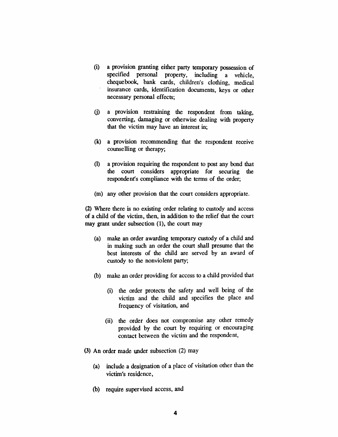- *(i) a provision granting either party temporary possession of specified personal property, including a vehicle, chequebook, bank cards, children's clothing, medical insurance cards, identification documents, keys or other necessary personal effects;*
- *(j) a provision restraining the respondent from taking, converting, damaging or otherwise dealing with property that the victim may have an interest in;*
- *(k) a provision recommending that the respondent receive counselling or therapy;*
- *(l) a provision requiring the respondent to post any bond that the court considers appropriate for securing the respondent's compliance with the terms of the order;*
- *(m) any other provision that the court considers appropriate.*

*(2) Where there is no existing order relating to custody and access of a child of the victim, then, in addition to the relief that the court may grant under subsection (1), the court may*

- *(a) make an order awarding temporary custody of a child and in making such an order the court shall presume that the best interests of the child are served by an award of custody to the nonviolent party;*
- *(b) make an order providing for access to a child provided that*
	- *(i) the order protects the safety and well being of the victim and the child and specifies the place and frequency of visitation, and*
	- *(ii) the order does not compromise any other remedy provided by the court by requiring or encouraging contact between the victim and the respondent,*
- *(3) An order made under subsection (2) may*
	- *(a) include a designation of a place of visitation other than the victim's residence,*
	- *(b) require supervised access, and*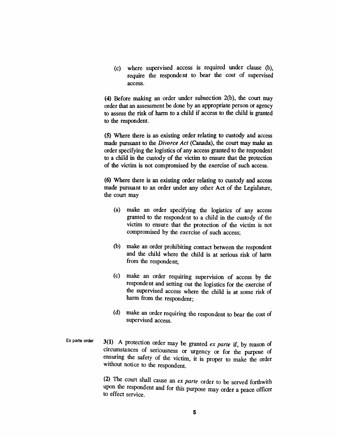*(c) where supervised access is required under clause (b), require the respondent to bear the cost of supervised access.*

*(4) Before making an order under subsection 2(b), the court may order that an assessment be done by an appropriate person or agency to assess the risk of harm to a child if access to the child is granted to the respondent.*

*(5) Where there is an existing order relating to custody and access made pursuant to the Divorce Act (Canada), the court may make an order specifying the logistics of any access granted to the respondent to a child in the custody of the victim to ensure that the protection of the victim is not compromised by the exercise of such access.*

*(6) Where there is an existing order relating to custody and access made pursuant to an order under any other Act of the Legislature, the court may*

- *(a) make an order specifying the logistics of any access granted to the respondent to a child in the custody of the victim to ensure that the protection of the victim is not compromised by the exercise of such access;*
- *(b) make an order prohibiting contact between the respondent and the child where the child is at serious risk of harm from the respondent;*
- *(c) make an order requiring supervision of access by the respondent and setting out the logistics for the exercise of the supervised access where the child is at some risk of harm from the respondent;*
- *(d) make an order requiring the respondent to bear the cost of supervised access.*
- *Ex parte order 3(1) A protection order may be granted ex parte if, by reason of circumstances of seriousness or urgency or for the purpose of ensuring the safety of the victim, it is proper to make the order without notice to the respondent.*

*(2) The court shall cause an ex parte order to be served forthwith upon the respondent and for this purpose may order a peace officer to effect service.*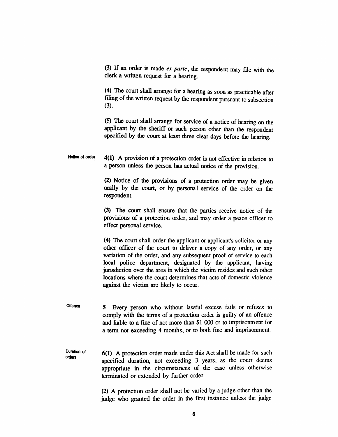*(3) If an order is made ex parte, the respondent may file with the clerk a written request for a hearing.*

*(4) The court shall arrange for a hearing as soon as practicable after filing of the written request by the respondent pursuant to subsection (3).*

*(5) The court shall arrange for service of a notice of hearing on the applicant by the sheriff or such person other than the respondent specified by the court at least three clear days before the hearing.*

*Notice of order 4(1) A provision of a protection order is not effective in relation to a person unless the person has actual notice of the provision.*

> *(2) Notice of the provisions of a protection order may be given orally by the court, or by personal service of the order on the respondent.*

> *(3) The court shall ensure that the parties receive notice of the provisions of a protection order, and may order a peace officer to effect personal service.*

> *(4) The court shall order the applicant or applicant's solicitor or any other officer of the court to deliver a copy of any order, or any variation of the order, and any subsequent proof of service to each local police department, designated by the applicant, having jurisdiction over the area in which the victim resides and such other locations where the court determines that acts of domestic violence against the victim are likely to occur.*

*Offence 5 Every person who without lawful excuse fails or refuses to comply with the terms of a protection order is guilty of an offence and liable to a fine of not more than \$1 000 or to imprisonment for a term not exceeding 4 months, or to both fine and imprisonment.*

*Duration of orders 6(1) A protection order made under this Act shall be made for such specified duration, not exceeding 3 years, as the court deems appropriate in the circumstances of the case unless otherwise terminated or extended by further order.*

> *(2) A protection order shall not be varied by a judge other than the judge who granted the order in the first instance unless the judge*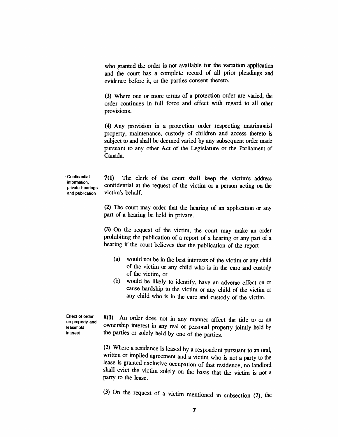*who granted the order is not available for the variation application and the court has a complete record of all prior pleadings and evidence before it, or the parties consent thereto.*

*(3) Where one or more terms of a protection order are varied, the order continues in full force and effect with regard to all other provisions.*

*(4) Any provision in a protection order respecting matrimonial property, maintenance, custody of children and access thereto is subject to and shall be deemed varied by any subsequent order made pursuant to any other Act of the Legislature or the Parliament of Canada.*

*Confidential information, private hearings and publication*

*7(1) The clerk of the court shall keep the victim's address confidential at the request of the victim or a person acting on the victim's behalf.*

*(2) The court may order that the hearing of an application or any part of a hearing be held in private.*

*(3) On the request of the victim, the court may make an order prohibiting the publication of a report of a hearing or any part of a hearing if the court believes that the publication of the report*

- *(a) would not be in the best interests of the victim or any child of the victim or any child who is in the care and custody of the victim, or*
- *(b) would be likely to identify, have an adverse effect on or cause hardship to the victim or any child of the victim or any child who is in the care and custody of the victim.*

*Effect of order on property and leasehold interest*

*8(1) An order does not in any manner affect the title to or an ownership interest in any real or personal property jointly held by the parties or solely held by one of the parties.*

*(2) Where a residence is leased by a respondent pursuant to an oral, written or implied agreement and a victim who is not a party to the lease is granted exclusive occupation of that residence, no landlord shall evict the victim solely on the basis that the victim is not a party to the lease.*

*(3) On the request of a victim mentioned in subsection (2), the*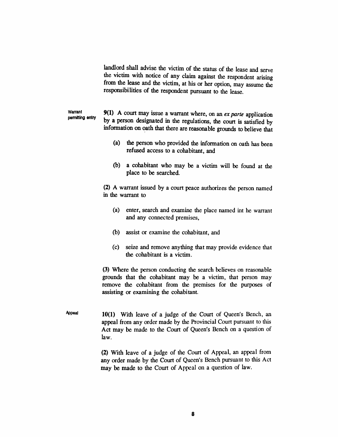*landlord shall advise the victim of the status of the lease and serve the victim with notice of any claim against the respondent arising from the lease and the victim, at his or her option, may assume the responsibilities of the respondent pursuant to the lease.*

*Warrant permitting entry 9(1) A court may issue a warrant where, on an ex parte application by a person designated in the regulations, the court is satisfied by information on oath that there are reasonable grounds to believe that*

- *(a) the person who provided the information on oath has been refused access to a cohabitant, and*
- *(b) a cohabitant who may be a victim will be found at the place to be searched.*

*(2) A warrant issued by a court peace authorizes the person named in the warrant to*

- *(a) enter, search and examine the place named int he warrant and any connected premises,*
- *(b) assist or examine the cohabitant, and*
- *(c) seize and remove anything that may provide evidence that the cohabitant is a victim.*

*(3) Where the person conducting the search believes on reasonable grounds that the cohabitant may be a victim, that person may remove the cohabitant from the premises for the purposes of assisting or examining the cohabitant.*

*Appeal 10(1) With leave of a judge of the Court of Queen's Bench, an appeal from any order made by the Provincial Court pursuant to this Act may be made to the Court of Queen's Bench on a question of law.*

> *(2) With leave of a judge of the Court of Appeal, an appeal from any order made by the Court of Queen's Bench pursuant to this Act may be made to the Court of Appeal on a question of law.*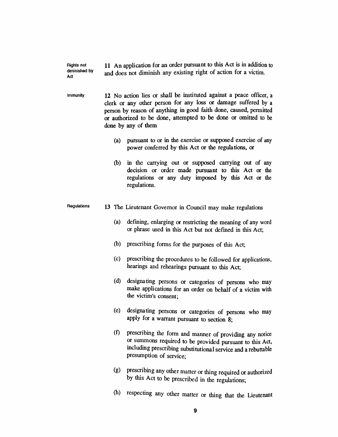*Rights not diminished by Act 11 An application for an order pursuant to this Act is in addition to and does not diminish any existing right of action for a victim.*

*Immunity 12 No action lies or shall be instituted against a peace officer, a clerk or any other person for any loss or damage suffered by a person by reason of anything in good faith done, caused, permitted or authorized to be done, attempted to be done or omitted to be done by any of them*

- *(a) pursuant to or in the exercise or supposed exercise of any power conferred by this Act or the regulations, or*
- *(b) in the carrying out or supposed carrying out of any decision or order made pursuant to this Act or the regulations or any duty imposed by this Act or the regulations.*

#### *Regulations 13 The Lieutenant Governor in Council may make regulations*

- *(a) defining, enlarging or restricting the meaning of any word or phrase used in this Act but not defined in this Act;*
- *(b) prescribing forms for the purposes of this Act;*
- *(c) prescribing the procedures to be followed for applications, hearings and rehearings pursuant to this Act;*
- *(d) designating persons or categories of persons who may make applications for an order on behalf of a victim with the victim's consent;*
- *(e) designating persons or categories of persons who may apply for a warrant pursuant to section 8;*
- *(f) prescribing the form and manner of providing any notice or summons required to be provided pursuant to this Act, including prescribing substitutional service and a rebuttable presumption of service;*
- *(g) prescribing any other matter or thing required or authorized by this Act to be prescribed in the regulations;*
- *(h) respecting any other matter or thing that the Lieutenant*